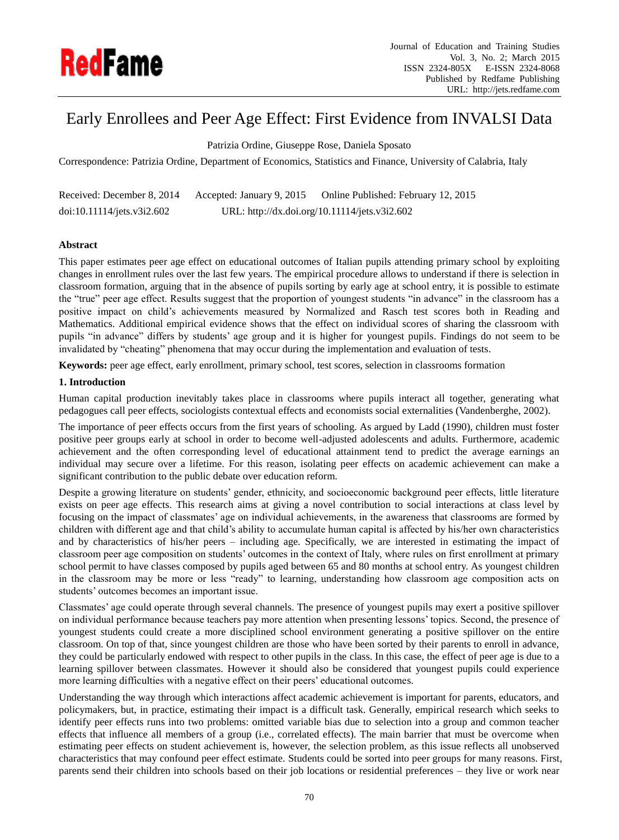

# Early Enrollees and Peer Age Effect: First Evidence from INVALSI Data

Patrizia Ordine, Giuseppe Rose, Daniela Sposato

Correspondence: Patrizia Ordine, Department of Economics, Statistics and Finance, University of Calabria, Italy

| Received: December 8, 2014 | Accepted: January 9, 2015 | Online Published: February 12, 2015           |
|----------------------------|---------------------------|-----------------------------------------------|
| doi:10.11114/jets.v3i2.602 |                           | URL: http://dx.doi.org/10.11114/jets.v3i2.602 |

# **Abstract**

This paper estimates peer age effect on educational outcomes of Italian pupils attending primary school by exploiting changes in enrollment rules over the last few years. The empirical procedure allows to understand if there is selection in classroom formation, arguing that in the absence of pupils sorting by early age at school entry, it is possible to estimate the "true" peer age effect. Results suggest that the proportion of youngest students "in advance" in the classroom has a positive impact on child's achievements measured by Normalized and Rasch test scores both in Reading and Mathematics. Additional empirical evidence shows that the effect on individual scores of sharing the classroom with pupils "in advance" differs by students' age group and it is higher for youngest pupils. Findings do not seem to be invalidated by "cheating" phenomena that may occur during the implementation and evaluation of tests.

**Keywords:** peer age effect, early enrollment, primary school, test scores, selection in classrooms formation

# **1. Introduction**

Human capital production inevitably takes place in classrooms where pupils interact all together, generating what pedagogues call peer effects, sociologists contextual effects and economists social externalities (Vandenberghe, 2002).

The importance of peer effects occurs from the first years of schooling. As argued by Ladd (1990), children must foster positive peer groups early at school in order to become well-adjusted adolescents and adults. Furthermore, academic achievement and the often corresponding level of educational attainment tend to predict the average earnings an individual may secure over a lifetime. For this reason, isolating peer effects on academic achievement can make a significant contribution to the public debate over education reform.

Despite a growing literature on students' gender, ethnicity, and socioeconomic background peer effects, little literature exists on peer age effects. This research aims at giving a novel contribution to social interactions at class level by focusing on the impact of classmates' age on individual achievements, in the awareness that classrooms are formed by children with different age and that child's ability to accumulate human capital is affected by his/her own characteristics and by characteristics of his/her peers – including age. Specifically, we are interested in estimating the impact of classroom peer age composition on students' outcomes in the context of Italy, where rules on first enrollment at primary school permit to have classes composed by pupils aged between 65 and 80 months at school entry. As youngest children in the classroom may be more or less "ready" to learning, understanding how classroom age composition acts on students' outcomes becomes an important issue.

Classmates' age could operate through several channels. The presence of youngest pupils may exert a positive spillover on individual performance because teachers pay more attention when presenting lessons' topics. Second, the presence of youngest students could create a more disciplined school environment generating a positive spillover on the entire classroom. On top of that, since youngest children are those who have been sorted by their parents to enroll in advance, they could be particularly endowed with respect to other pupils in the class. In this case, the effect of peer age is due to a learning spillover between classmates. However it should also be considered that youngest pupils could experience more learning difficulties with a negative effect on their peers' educational outcomes.

Understanding the way through which interactions affect academic achievement is important for parents, educators, and policymakers, but, in practice, estimating their impact is a difficult task. Generally, empirical research which seeks to identify peer effects runs into two problems: omitted variable bias due to selection into a group and common teacher effects that influence all members of a group (i.e., correlated effects). The main barrier that must be overcome when estimating peer effects on student achievement is, however, the selection problem, as this issue reflects all unobserved characteristics that may confound peer effect estimate. Students could be sorted into peer groups for many reasons. First, parents send their children into schools based on their job locations or residential preferences – they live or work near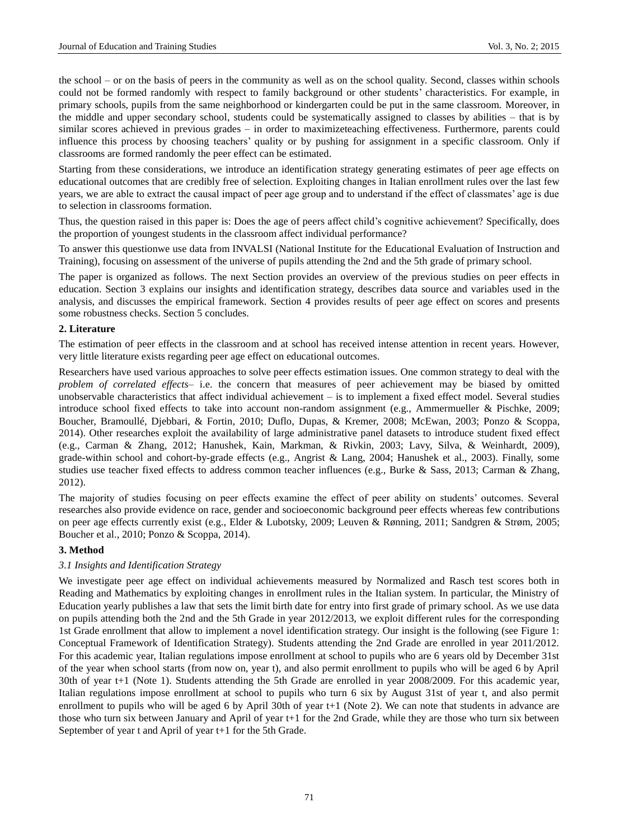the school – or on the basis of peers in the community as well as on the school quality. Second, classes within schools could not be formed randomly with respect to family background or other students' characteristics. For example, in primary schools, pupils from the same neighborhood or kindergarten could be put in the same classroom. Moreover, in the middle and upper secondary school, students could be systematically assigned to classes by abilities – that is by similar scores achieved in previous grades – in order to maximizeteaching effectiveness. Furthermore, parents could influence this process by choosing teachers' quality or by pushing for assignment in a specific classroom. Only if classrooms are formed randomly the peer effect can be estimated.

Starting from these considerations, we introduce an identification strategy generating estimates of peer age effects on educational outcomes that are credibly free of selection. Exploiting changes in Italian enrollment rules over the last few years, we are able to extract the causal impact of peer age group and to understand if the effect of classmates' age is due to selection in classrooms formation.

Thus, the question raised in this paper is: Does the age of peers affect child's cognitive achievement? Specifically, does the proportion of youngest students in the classroom affect individual performance?

To answer this questionwe use data from INVALSI (National Institute for the Educational Evaluation of Instruction and Training), focusing on assessment of the universe of pupils attending the 2nd and the 5th grade of primary school.

The paper is organized as follows. The next Section provides an overview of the previous studies on peer effects in education. Section 3 explains our insights and identification strategy, describes data source and variables used in the analysis, and discusses the empirical framework. Section 4 provides results of peer age effect on scores and presents some robustness checks. Section 5 concludes.

## **2. Literature**

The estimation of peer effects in the classroom and at school has received intense attention in recent years. However, very little literature exists regarding peer age effect on educational outcomes.

Researchers have used various approaches to solve peer effects estimation issues. One common strategy to deal with the *problem of correlated effects*– i.e. the concern that measures of peer achievement may be biased by omitted unobservable characteristics that affect individual achievement – is to implement a fixed effect model. Several studies introduce school fixed effects to take into account non-random assignment (e.g., Ammermueller & Pischke, 2009; Boucher, Bramoullé, Djebbari, & Fortin, 2010; Duflo, Dupas, & Kremer, 2008; McEwan, 2003; Ponzo & Scoppa, 2014). Other researches exploit the availability of large administrative panel datasets to introduce student fixed effect (e.g., Carman & Zhang, 2012; Hanushek, Kain, Markman, & Rivkin, 2003; Lavy, Silva, & Weinhardt, 2009), grade-within school and cohort-by-grade effects (e.g., Angrist & Lang, 2004; Hanushek et al., 2003). Finally, some studies use teacher fixed effects to address common teacher influences (e.g., Burke & Sass, 2013; Carman & Zhang, 2012).

The majority of studies focusing on peer effects examine the effect of peer ability on students' outcomes. Several researches also provide evidence on race, gender and socioeconomic background peer effects whereas few contributions on peer age effects currently exist (e.g., Elder & Lubotsky, 2009; Leuven & Rønning, 2011; Sandgren & Strøm, 2005; Boucher et al., 2010; Ponzo & Scoppa, 2014).

#### **3. Method**

## *3.1 Insights and Identification Strategy*

We investigate peer age effect on individual achievements measured by Normalized and Rasch test scores both in Reading and Mathematics by exploiting changes in enrollment rules in the Italian system. In particular, the Ministry of Education yearly publishes a law that sets the limit birth date for entry into first grade of primary school. As we use data on pupils attending both the 2nd and the 5th Grade in year 2012/2013, we exploit different rules for the corresponding 1st Grade enrollment that allow to implement a novel identification strategy. Our insight is the following (see Figure 1: Conceptual Framework of Identification Strategy). Students attending the 2nd Grade are enrolled in year 2011/2012. For this academic year, Italian regulations impose enrollment at school to pupils who are 6 years old by December 31st of the year when school starts (from now on, year t), and also permit enrollment to pupils who will be aged 6 by April 30th of year t+1 (Note 1). Students attending the 5th Grade are enrolled in year 2008/2009. For this academic year, Italian regulations impose enrollment at school to pupils who turn 6 six by August 31st of year t, and also permit enrollment to pupils who will be aged 6 by April 30th of year t+1 (Note 2). We can note that students in advance are those who turn six between January and April of year t+1 for the 2nd Grade, while they are those who turn six between September of year t and April of year t+1 for the 5th Grade.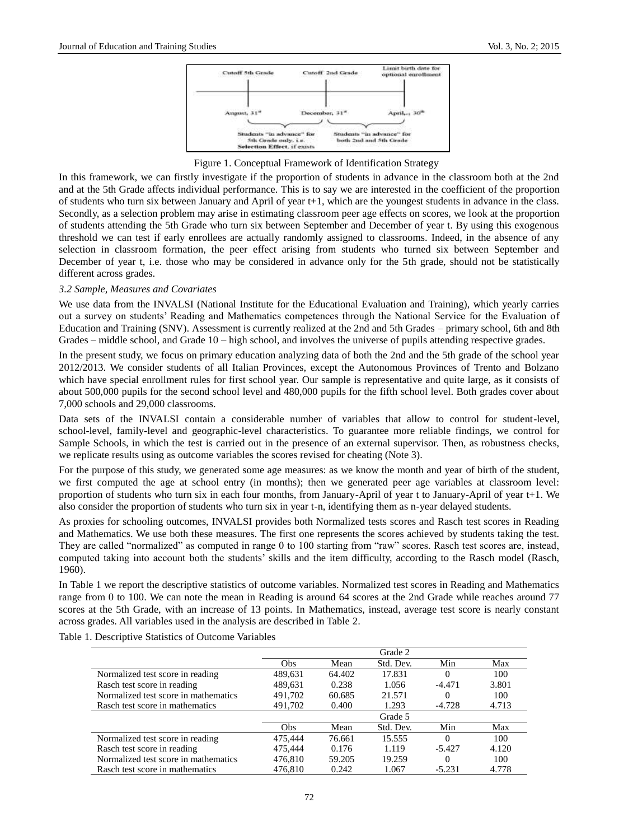

Figure 1. Conceptual Framework of Identification Strategy

In this framework, we can firstly investigate if the proportion of students in advance in the classroom both at the 2nd and at the 5th Grade affects individual performance. This is to say we are interested in the coefficient of the proportion of students who turn six between January and April of year t+1, which are the youngest students in advance in the class. Secondly, as a selection problem may arise in estimating classroom peer age effects on scores, we look at the proportion of students attending the 5th Grade who turn six between September and December of year t. By using this exogenous threshold we can test if early enrollees are actually randomly assigned to classrooms. Indeed, in the absence of any selection in classroom formation, the peer effect arising from students who turned six between September and December of year t, i.e. those who may be considered in advance only for the 5th grade, should not be statistically different across grades.

## *3.2 Sample, Measures and Covariates*

We use data from the INVALSI (National Institute for the Educational Evaluation and Training), which yearly carries out a survey on students' Reading and Mathematics competences through the National Service for the Evaluation of Education and Training (SNV). Assessment is currently realized at the 2nd and 5th Grades – primary school, 6th and 8th Grades – middle school, and Grade 10 – high school, and involves the universe of pupils attending respective grades.

In the present study, we focus on primary education analyzing data of both the 2nd and the 5th grade of the school year 2012/2013. We consider students of all Italian Provinces, except the Autonomous Provinces of Trento and Bolzano which have special enrollment rules for first school year. Our sample is representative and quite large, as it consists of about 500,000 pupils for the second school level and 480,000 pupils for the fifth school level. Both grades cover about 7,000 schools and 29,000 classrooms.

Data sets of the INVALSI contain a considerable number of variables that allow to control for student-level, school-level, family-level and geographic-level characteristics. To guarantee more reliable findings, we control for Sample Schools, in which the test is carried out in the presence of an external supervisor. Then, as robustness checks, we replicate results using as outcome variables the scores revised for cheating (Note 3).

For the purpose of this study, we generated some age measures: as we know the month and year of birth of the student, we first computed the age at school entry (in months); then we generated peer age variables at classroom level: proportion of students who turn six in each four months, from January-April of year t to January-April of year t+1. We also consider the proportion of students who turn six in year t-n, identifying them as n-year delayed students.

As proxies for schooling outcomes, INVALSI provides both Normalized tests scores and Rasch test scores in Reading and Mathematics. We use both these measures. The first one represents the scores achieved by students taking the test. They are called "normalized" as computed in range 0 to 100 starting from "raw" scores. Rasch test scores are, instead, computed taking into account both the students' skills and the item difficulty, according to the Rasch model (Rasch, 1960).

In Table 1 we report the descriptive statistics of outcome variables. Normalized test scores in Reading and Mathematics range from 0 to 100. We can note the mean in Reading is around 64 scores at the 2nd Grade while reaches around 77 scores at the 5th Grade, with an increase of 13 points. In Mathematics, instead, average test score is nearly constant across grades. All variables used in the analysis are described in Table 2.

Table 1. Descriptive Statistics of Outcome Variables

|                                      |         |        | Grade 2   |          |       |
|--------------------------------------|---------|--------|-----------|----------|-------|
|                                      | Obs     | Mean   | Std. Dev. | Min      | Max   |
| Normalized test score in reading     | 489,631 | 64.402 | 17.831    |          | 100   |
| Rasch test score in reading          | 489,631 | 0.238  | 1.056     | $-4.471$ | 3.801 |
| Normalized test score in mathematics | 491,702 | 60.685 | 21.571    |          | 100   |
| Rasch test score in mathematics      | 491,702 | 0.400  | 1.293     | $-4.728$ | 4.713 |
|                                      |         |        | Grade 5   |          |       |
|                                      | Obs     | Mean   | Std. Dev. | Min      | Max   |
| Normalized test score in reading     | 475,444 | 76.661 | 15.555    | 0        | 100   |
| Rasch test score in reading          | 475,444 | 0.176  | 1.119     | $-5.427$ | 4.120 |
| Normalized test score in mathematics | 476,810 | 59.205 | 19.259    | 0        | 100   |
| Rasch test score in mathematics      | 476,810 | 0.242  | 1.067     | $-5.231$ | 4.778 |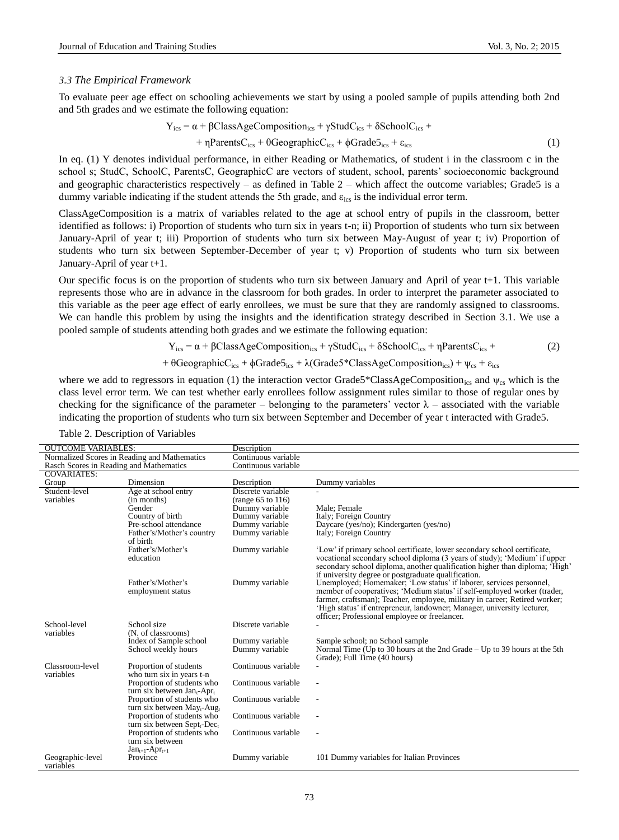#### *3.3 The Empirical Framework*

To evaluate peer age effect on schooling achievements we start by using a pooled sample of pupils attending both 2nd and 5th grades and we estimate the following equation:

$$
Y_{ics} = \alpha + \beta ClassAgeComposition_{ics} + \gamma StudC_{ics} + \delta SchoolC_{ics} ++ \eta ParentsC_{ics} + \theta GeographicC_{ics} + \phi Grade5_{ics} + \epsilon_{ics}
$$
 (1)

In eq. (1) Y denotes individual performance, in either Reading or Mathematics, of student i in the classroom c in the school s; StudC, SchoolC, ParentsC, GeographicC are vectors of student, school, parents' socioeconomic background and geographic characteristics respectively – as defined in Table 2 – which affect the outcome variables; Grade5 is a dummy variable indicating if the student attends the 5th grade, and  $\varepsilon_{\text{ics}}$  is the individual error term.

ClassAgeComposition is a matrix of variables related to the age at school entry of pupils in the classroom, better identified as follows: i) Proportion of students who turn six in years t-n; ii) Proportion of students who turn six between January-April of year t; iii) Proportion of students who turn six between May-August of year t; iv) Proportion of students who turn six between September-December of year t; v) Proportion of students who turn six between January-April of year t+1.

Our specific focus is on the proportion of students who turn six between January and April of year t+1. This variable represents those who are in advance in the classroom for both grades. In order to interpret the parameter associated to this variable as the peer age effect of early enrollees, we must be sure that they are randomly assigned to classrooms. We can handle this problem by using the insights and the identification strategy described in Section 3.1. We use a pooled sample of students attending both grades and we estimate the following equation:

$$
Y_{ics} = \alpha + \beta ClassAgeComposition_{ics} + \gamma StudC_{ics} + \delta SchoolC_{ics} + \eta ParentsC_{ics} + \tag{2}
$$

$$
+\theta GeographicC_{ics}+\varphi Grade5_{ics}+\lambda (Grade5*ClassAgeComposition_{ics})+\psi_{cs}+\epsilon_{ics}
$$

where we add to regressors in equation (1) the interaction vector Grade5\*ClassAgeComposition<sub>ics</sub> and  $\psi_{cs}$  which is the class level error term. We can test whether early enrollees follow assignment rules similar to those of regular ones by checking for the significance of the parameter – belonging to the parameters' vector  $\lambda$  – associated with the variable indicating the proportion of students who turn six between September and December of year t interacted with Grade5.

| <b>OUTCOME VARIABLES:</b> |                                                     | Description            |                                                                                                                                                         |
|---------------------------|-----------------------------------------------------|------------------------|---------------------------------------------------------------------------------------------------------------------------------------------------------|
|                           | Normalized Scores in Reading and Mathematics        | Continuous variable    |                                                                                                                                                         |
|                           | Rasch Scores in Reading and Mathematics             | Continuous variable    |                                                                                                                                                         |
| <b>COVARIATES:</b>        |                                                     |                        |                                                                                                                                                         |
| Group                     | Dimension                                           | Description            | Dummy variables                                                                                                                                         |
| Student-level             | Age at school entry                                 | Discrete variable      |                                                                                                                                                         |
| variables                 | (in months)                                         | (range $65$ to $116$ ) |                                                                                                                                                         |
|                           | Gender                                              | Dummy variable         | Male: Female                                                                                                                                            |
|                           | Country of birth                                    | Dummy variable         | Italy; Foreign Country                                                                                                                                  |
|                           | Pre-school attendance                               | Dummy variable         | Daycare (yes/no); Kindergarten (yes/no)                                                                                                                 |
|                           | Father's/Mother's country<br>of birth               | Dummy variable         | Italy; Foreign Country                                                                                                                                  |
|                           | Father's/Mother's                                   | Dummy variable         | 'Low' if primary school certificate, lower secondary school certificate,                                                                                |
|                           | education                                           |                        | vocational secondary school diploma (3 years of study); 'Medium' if upper<br>secondary school diploma, another qualification higher than diploma; High' |
|                           |                                                     |                        | if university degree or postgraduate qualification.                                                                                                     |
|                           | Father's/Mother's                                   | Dummy variable         | Unemployed; Homemaker; 'Low status' if laborer, services personnel,                                                                                     |
|                           | employment status                                   |                        | member of cooperatives; 'Medium status' if self-employed worker (trader,                                                                                |
|                           |                                                     |                        | farmer, craftsman); Teacher, employee, military in career; Retired worker;                                                                              |
|                           |                                                     |                        | 'High status' if entrepreneur, landowner; Manager, university lecturer,                                                                                 |
|                           |                                                     |                        | officer; Professional employee or freelancer.                                                                                                           |
| School-level              | School size                                         | Discrete variable      |                                                                                                                                                         |
| variables                 | (N. of classrooms)                                  |                        |                                                                                                                                                         |
|                           | Index of Sample school                              | Dummy variable         | Sample school; no School sample                                                                                                                         |
|                           | School weekly hours                                 | Dummy variable         | Normal Time (Up to 30 hours at the 2nd Grade – Up to 39 hours at the 5th                                                                                |
|                           |                                                     |                        | Grade); Full Time (40 hours)                                                                                                                            |
| Classroom-level           | Proportion of students                              | Continuous variable    |                                                                                                                                                         |
| variables                 | who turn six in years t-n                           |                        |                                                                                                                                                         |
|                           | Proportion of students who                          | Continuous variable    |                                                                                                                                                         |
|                           | turn six between Jan <sub>t</sub> -Apr <sub>t</sub> |                        |                                                                                                                                                         |
|                           | Proportion of students who                          | Continuous variable    | $\overline{\phantom{a}}$                                                                                                                                |
|                           | turn six between $May_t$ -Aug                       |                        |                                                                                                                                                         |
|                           | Proportion of students who                          | Continuous variable    |                                                                                                                                                         |
|                           | turn six between $Sept_{t}$ -Dec <sub>t</sub>       |                        |                                                                                                                                                         |
|                           | Proportion of students who                          | Continuous variable    |                                                                                                                                                         |
|                           | turn six between                                    |                        |                                                                                                                                                         |
|                           | $Jan_{t+1}$ -Apr <sub>t+1</sub>                     |                        |                                                                                                                                                         |
| Geographic-level          | Province                                            | Dummy variable         | 101 Dummy variables for Italian Provinces                                                                                                               |
| variables                 |                                                     |                        |                                                                                                                                                         |

Table 2. Description of Variables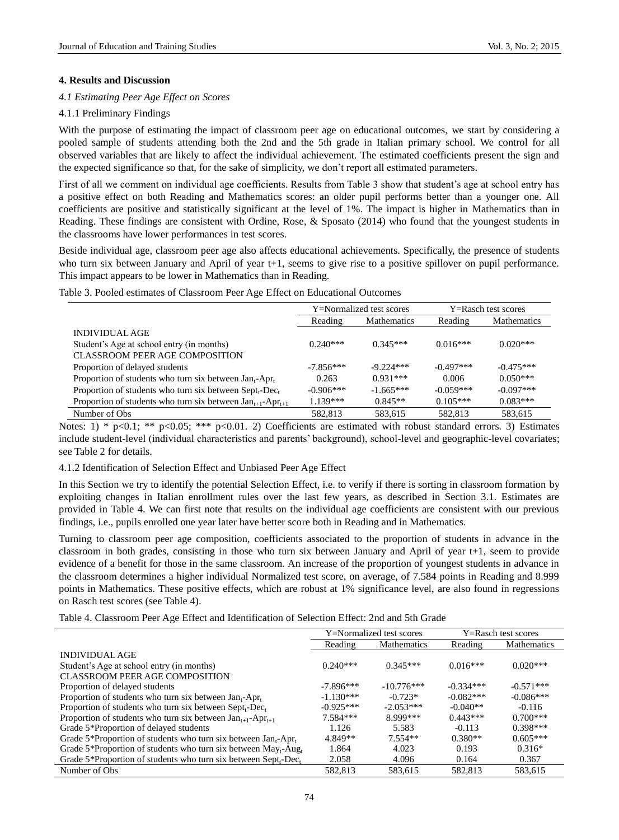## **4. Results and Discussion**

## *4.1 Estimating Peer Age Effect on Scores*

## 4.1.1 Preliminary Findings

With the purpose of estimating the impact of classroom peer age on educational outcomes, we start by considering a pooled sample of students attending both the 2nd and the 5th grade in Italian primary school. We control for all observed variables that are likely to affect the individual achievement. The estimated coefficients present the sign and the expected significance so that, for the sake of simplicity, we don't report all estimated parameters.

First of all we comment on individual age coefficients. Results from Table 3 show that student's age at school entry has a positive effect on both Reading and Mathematics scores: an older pupil performs better than a younger one. All coefficients are positive and statistically significant at the level of 1%. The impact is higher in Mathematics than in Reading. These findings are consistent with Ordine, Rose, & Sposato (2014) who found that the youngest students in the classrooms have lower performances in test scores.

Beside individual age, classroom peer age also affects educational achievements. Specifically, the presence of students who turn six between January and April of year  $t+1$ , seems to give rise to a positive spillover on pupil performance. This impact appears to be lower in Mathematics than in Reading.

|  |  |  |  |  |  |  |  |  | Table 3. Pooled estimates of Classroom Peer Age Effect on Educational Outcomes |  |
|--|--|--|--|--|--|--|--|--|--------------------------------------------------------------------------------|--|
|--|--|--|--|--|--|--|--|--|--------------------------------------------------------------------------------|--|

|                                                                                 | Y=Normalized test scores |                    |             | Y=Rasch test scores |
|---------------------------------------------------------------------------------|--------------------------|--------------------|-------------|---------------------|
|                                                                                 | Reading                  | <b>Mathematics</b> | Reading     | Mathematics         |
| INDIVIDUAL AGE                                                                  |                          |                    |             |                     |
| Student's Age at school entry (in months)                                       | $0.240***$               | $0.345***$         | $0.016***$  | $0.020***$          |
| CLASSROOM PEER AGE COMPOSITION                                                  |                          |                    |             |                     |
| Proportion of delayed students                                                  | $-7.856***$              | $-9.224***$        | $-0.497***$ | $-0.475***$         |
| Proportion of students who turn six between Jan <sub>t</sub> -Apr <sub>t</sub>  | 0.263                    | $0.931***$         | 0.006       | $0.050***$          |
| Proportion of students who turn six between Sept <sub>t</sub> -Dec <sub>t</sub> | $-0.906***$              | $-1.665***$        | $-0.059***$ | $-0.097***$         |
| Proportion of students who turn six between $Jan_{t+1}$ -Apr <sub>t+1</sub>     | $1.139***$               | $0.845**$          | $0.105***$  | $0.083***$          |
| Number of Obs.                                                                  | 582.813                  | 583.615            | 582.813     | 583,615             |

Notes: 1) \* p<0.1; \*\* p<0.05; \*\*\* p<0.01. 2) Coefficients are estimated with robust standard errors. 3) Estimates include student-level (individual characteristics and parents' background), school-level and geographic-level covariates; see Table 2 for details.

# 4.1.2 Identification of Selection Effect and Unbiased Peer Age Effect

In this Section we try to identify the potential Selection Effect, i.e. to verify if there is sorting in classroom formation by exploiting changes in Italian enrollment rules over the last few years, as described in Section 3.1. Estimates are provided in Table 4. We can first note that results on the individual age coefficients are consistent with our previous findings, i.e., pupils enrolled one year later have better score both in Reading and in Mathematics.

Turning to classroom peer age composition, coefficients associated to the proportion of students in advance in the classroom in both grades, consisting in those who turn six between January and April of year t+1, seem to provide evidence of a benefit for those in the same classroom. An increase of the proportion of youngest students in advance in the classroom determines a higher individual Normalized test score, on average, of 7.584 points in Reading and 8.999 points in Mathematics. These positive effects, which are robust at 1% significance level, are also found in regressions on Rasch test scores (see Table 4).

Table 4. Classroom Peer Age Effect and Identification of Selection Effect: 2nd and 5th Grade

|                                                                                         |             | Y=Normalized test scores | Y=Rasch test scores |                    |  |
|-----------------------------------------------------------------------------------------|-------------|--------------------------|---------------------|--------------------|--|
|                                                                                         | Reading     | <b>Mathematics</b>       | Reading             | <b>Mathematics</b> |  |
| <b>INDIVIDUAL AGE</b>                                                                   |             |                          |                     |                    |  |
| Student's Age at school entry (in months)                                               | $0.240***$  | $0.345***$               | $0.016***$          | $0.020***$         |  |
| CLASSROOM PEER AGE COMPOSITION                                                          |             |                          |                     |                    |  |
| Proportion of delayed students                                                          | $-7.896***$ | $-10.776***$             | $-0.334***$         | $-0.571***$        |  |
| Proportion of students who turn six between $Jan_t$ -Apr <sub>t</sub>                   | $-1.130***$ | $-0.723*$                | $-0.082***$         | $-0.086***$        |  |
| Proportion of students who turn six between $Septt-Dect$                                | $-0.925***$ | $-2.053***$              | $-0.040**$          | $-0.116$           |  |
| Proportion of students who turn six between $Jan_{t+1}$ -Apr <sub>t+1</sub>             | $7.584***$  | 8.999***                 | $0.443***$          | $0.700***$         |  |
| Grade 5*Proportion of delayed students                                                  | 1.126       | 5.583                    | $-0.113$            | $0.398***$         |  |
| Grade 5*Proportion of students who turn six between Jan <sub>t</sub> -Apr <sub>t</sub>  | 4.849**     | $7.554**$                | $0.380**$           | $0.605***$         |  |
| Grade 5*Proportion of students who turn six between $May_t$ -Aug <sub>t</sub>           | 1.864       | 4.023                    | 0.193               | $0.316*$           |  |
| Grade 5*Proportion of students who turn six between Sept <sub>r</sub> -Dec <sub>t</sub> | 2.058       | 4.096                    | 0.164               | 0.367              |  |
| Number of Obs.                                                                          | 582.813     | 583,615                  | 582.813             | 583.615            |  |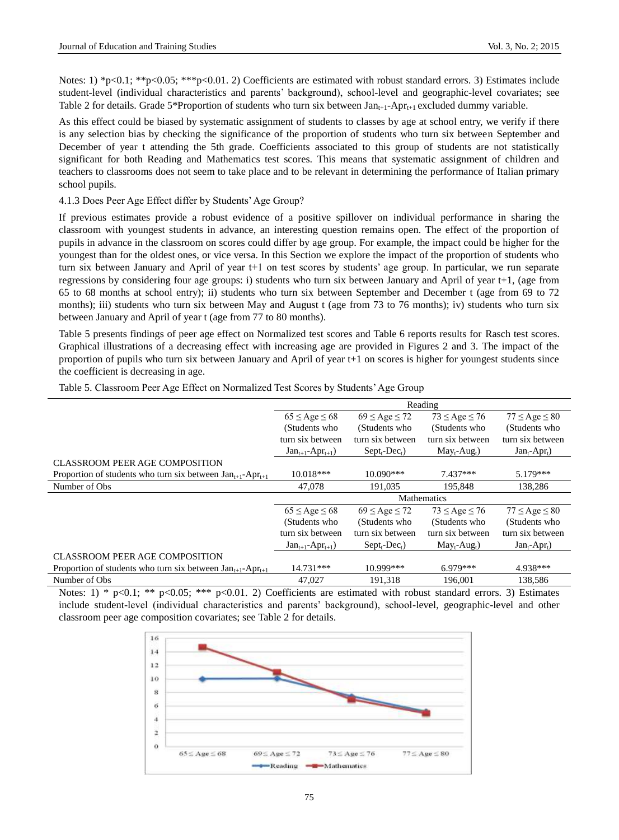Notes: 1) \*p<0.1; \*\*p<0.05; \*\*\*p<0.01. 2) Coefficients are estimated with robust standard errors. 3) Estimates include student-level (individual characteristics and parents' background), school-level and geographic-level covariates; see Table 2 for details. Grade 5\*Proportion of students who turn six between  $Jan_{t+1}-Apr_{t+1}$  excluded dummy variable.

As this effect could be biased by systematic assignment of students to classes by age at school entry, we verify if there is any selection bias by checking the significance of the proportion of students who turn six between September and December of year t attending the 5th grade. Coefficients associated to this group of students are not statistically significant for both Reading and Mathematics test scores. This means that systematic assignment of children and teachers to classrooms does not seem to take place and to be relevant in determining the performance of Italian primary school pupils.

4.1.3 Does Peer Age Effect differ by Students' Age Group?

If previous estimates provide a robust evidence of a positive spillover on individual performance in sharing the classroom with youngest students in advance, an interesting question remains open. The effect of the proportion of pupils in advance in the classroom on scores could differ by age group. For example, the impact could be higher for the youngest than for the oldest ones, or vice versa. In this Section we explore the impact of the proportion of students who turn six between January and April of year t+1 on test scores by students' age group. In particular, we run separate regressions by considering four age groups: i) students who turn six between January and April of year t+1, (age from 65 to 68 months at school entry); ii) students who turn six between September and December t (age from 69 to 72 months); iii) students who turn six between May and August t (age from 73 to 76 months); iv) students who turn six between January and April of year t (age from 77 to 80 months).

Table 5 presents findings of peer age effect on Normalized test scores and Table 6 reports results for Rasch test scores. Graphical illustrations of a decreasing effect with increasing age are provided in Figures 2 and 3. The impact of the proportion of pupils who turn six between January and April of year t+1 on scores is higher for youngest students since the coefficient is decreasing in age.

|                                                                             |                                   |                                | Reading                     |                             |  |  |
|-----------------------------------------------------------------------------|-----------------------------------|--------------------------------|-----------------------------|-----------------------------|--|--|
|                                                                             | $65 \leq$ Age $\leq 68$           | $69 \le$ Age $\le$ 72          | $73 \leq Age \leq 76$       | $77 \leq$ Age $\leq 80$     |  |  |
|                                                                             | (Students who                     | (Students who                  | (Students who               | (Students who               |  |  |
|                                                                             | turn six between                  | turn six between               | turn six between            | turn six between            |  |  |
|                                                                             | $Jan_{t+1}$ -Apr <sub>t+1</sub> ) | $Sept_{t}$ -Dec <sub>t</sub> ) | $May_t$ -Aug <sub>t</sub> ) | $Jan_t$ -Apr <sub>t</sub> ) |  |  |
| <b>CLASSROOM PEER AGE COMPOSITION</b>                                       |                                   |                                |                             |                             |  |  |
| Proportion of students who turn six between $Jan_{t+1}$ -Apr <sub>t+1</sub> | $10.018***$                       | $10.090***$                    | $7.437***$                  | $5.179***$                  |  |  |
| Number of Obs                                                               | 47,078                            | 191,035                        | 195,848                     | 138.286                     |  |  |
|                                                                             |                                   |                                | <b>Mathematics</b>          |                             |  |  |
|                                                                             |                                   |                                |                             |                             |  |  |
|                                                                             | $65 \leq$ Age $\leq 68$           | $69 \le$ Age $\le$ 72          | $73 \leq Age \leq 76$       | $77 \leq$ Age $\leq 80$     |  |  |
|                                                                             | (Students who                     | (Students who                  | (Students who               | (Students who               |  |  |
|                                                                             | turn six between                  | turn six between               | turn six between            | turn six between            |  |  |
|                                                                             | $Jan_{t+1}$ -Apr <sub>t+1</sub> ) | $Sept_{t}$ -Dec <sub>t</sub> ) | $May_t$ -Aug <sub>t</sub> ) | $Jan_t$ -Apr <sub>t</sub> ) |  |  |
| <b>CLASSROOM PEER AGE COMPOSITION</b>                                       |                                   |                                |                             |                             |  |  |
| Proportion of students who turn six between $Jan_{t+1}$ -Apr <sub>t+1</sub> | 14.731***                         | 10.999***                      | $6.979***$                  | 4.938***                    |  |  |

Table 5. Classroom Peer Age Effect on Normalized Test Scores by Students' Age Group

Notes: 1) \* p<0.1; \*\* p<0.05; \*\*\* p<0.01. 2) Coefficients are estimated with robust standard errors. 3) Estimates include student-level (individual characteristics and parents' background), school-level, geographic-level and other classroom peer age composition covariates; see Table 2 for details.

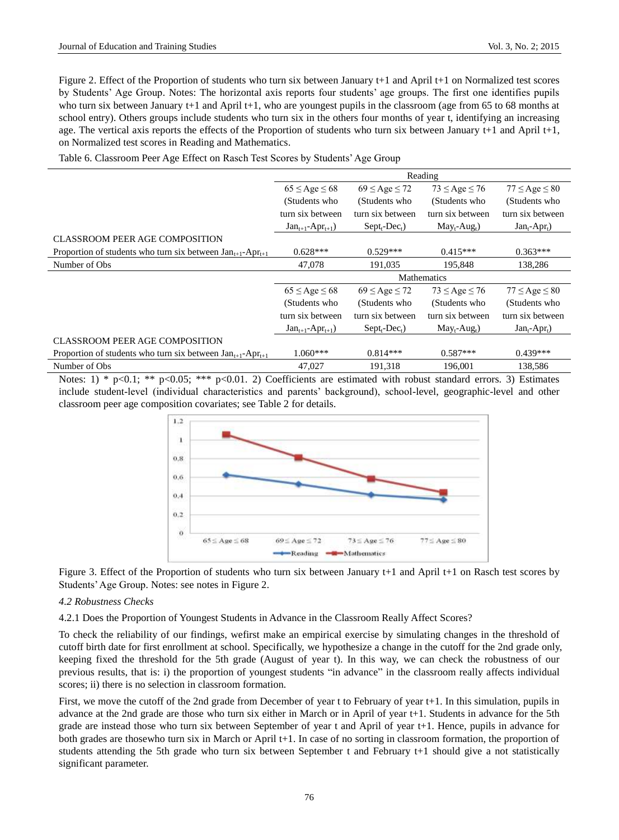Figure 2. Effect of the Proportion of students who turn six between January t+1 and April t+1 on Normalized test scores by Students' Age Group. Notes: The horizontal axis reports four students' age groups. The first one identifies pupils who turn six between January t+1 and April t+1, who are youngest pupils in the classroom (age from 65 to 68 months at school entry). Others groups include students who turn six in the others four months of year t, identifying an increasing age. The vertical axis reports the effects of the Proportion of students who turn six between January t+1 and April t+1, on Normalized test scores in Reading and Mathematics.

Table 6. Classroom Peer Age Effect on Rasch Test Scores by Students' Age Group

|                                                                                                                                                                                                                                                                               |                                   |                                | Reading                     |                             |
|-------------------------------------------------------------------------------------------------------------------------------------------------------------------------------------------------------------------------------------------------------------------------------|-----------------------------------|--------------------------------|-----------------------------|-----------------------------|
|                                                                                                                                                                                                                                                                               | $65 \leq$ Age $\leq 68$           | $69 \le$ Age $\le$ 72          | $73 \leq Age \leq 76$       | $77 \leq Age \leq 80$       |
|                                                                                                                                                                                                                                                                               | (Students who                     | (Students who                  | (Students who               | (Students who               |
|                                                                                                                                                                                                                                                                               | turn six between                  | turn six between               | turn six between            | turn six between            |
|                                                                                                                                                                                                                                                                               | $Jan_{t+1}$ -Apr <sub>t+1</sub> ) | $Sept_{t}$ -Dec <sub>t</sub> ) | $May_t$ -Aug <sub>t</sub> ) | $Jan_t$ -Apr <sub>t</sub> ) |
| <b>CLASSROOM PEER AGE COMPOSITION</b>                                                                                                                                                                                                                                         |                                   |                                |                             |                             |
| Proportion of students who turn six between $Jan_{t+1}$ -Apr <sub>t+1</sub>                                                                                                                                                                                                   | $0.628***$                        | $0.529***$                     | $0.415***$                  | $0.363***$                  |
| Number of Obs                                                                                                                                                                                                                                                                 | 47,078                            | 191,035                        | 195.848                     | 138,286                     |
|                                                                                                                                                                                                                                                                               |                                   |                                | <b>Mathematics</b>          |                             |
|                                                                                                                                                                                                                                                                               | $65 \leq Age \leq 68$             | $69 \le$ Age $\le$ 72          | $73 \leq Age \leq 76$       | $77 \leq Age \leq 80$       |
|                                                                                                                                                                                                                                                                               | (Students who                     | (Students who                  | (Students who               | (Students who               |
|                                                                                                                                                                                                                                                                               | turn six between                  | turn six between               | turn six between            | turn six between            |
|                                                                                                                                                                                                                                                                               | $Jan_{t+1}$ -Apr <sub>t+1</sub> ) | $Sept_{t}$ -Dec <sub>t</sub> ) | $May_t$ -Aug <sub>t</sub> ) | $Jan_t$ -Apr <sub>t</sub> ) |
| <b>CLASSROOM PEER AGE COMPOSITION</b>                                                                                                                                                                                                                                         |                                   |                                |                             |                             |
| Proportion of students who turn six between $Jan_{t+1}$ -Apr <sub>t+1</sub>                                                                                                                                                                                                   | $1.060***$                        | $0.814***$                     | $0.587***$                  | $0.439***$                  |
| Number of Obs                                                                                                                                                                                                                                                                 | 47,027                            | 191,318                        | 196,001                     | 138,586                     |
| and the study of the state of the state of the state of the state of the state of the state of the state of the state of the state of the state of the state of the state of the state of the state of the state of the state<br>$\bigcap_{i=1}^n \bigcap_{i=1}^n$<br>0.01.01 |                                   |                                |                             | $\sim$ $\sim$               |

Notes: 1) \* p<0.1; \*\* p<0.05; \*\*\* p<0.01. 2) Coefficients are estimated with robust standard errors. 3) Estimates include student-level (individual characteristics and parents' background), school-level, geographic-level and other classroom peer age composition covariates; see Table 2 for details.



Figure 3. Effect of the Proportion of students who turn six between January t+1 and April t+1 on Rasch test scores by Students' Age Group. Notes: see notes in Figure 2.

# *4.2 Robustness Checks*

4.2.1 Does the Proportion of Youngest Students in Advance in the Classroom Really Affect Scores?

To check the reliability of our findings, wefirst make an empirical exercise by simulating changes in the threshold of cutoff birth date for first enrollment at school. Specifically, we hypothesize a change in the cutoff for the 2nd grade only, keeping fixed the threshold for the 5th grade (August of year t). In this way, we can check the robustness of our previous results, that is: i) the proportion of youngest students "in advance" in the classroom really affects individual scores; ii) there is no selection in classroom formation.

First, we move the cutoff of the 2nd grade from December of year t to February of year t+1. In this simulation, pupils in advance at the 2nd grade are those who turn six either in March or in April of year t+1. Students in advance for the 5th grade are instead those who turn six between September of year t and April of year t+1. Hence, pupils in advance for both grades are thosewho turn six in March or April t+1. In case of no sorting in classroom formation, the proportion of students attending the 5th grade who turn six between September t and February t+1 should give a not statistically significant parameter.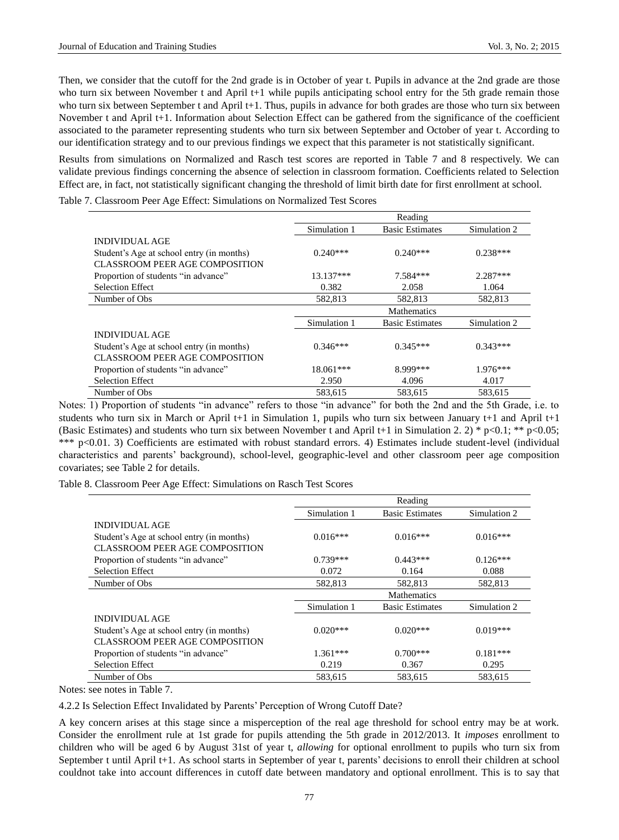Then, we consider that the cutoff for the 2nd grade is in October of year t. Pupils in advance at the 2nd grade are those who turn six between November t and April t+1 while pupils anticipating school entry for the 5th grade remain those who turn six between September t and April t+1. Thus, pupils in advance for both grades are those who turn six between November t and April t+1. Information about Selection Effect can be gathered from the significance of the coefficient associated to the parameter representing students who turn six between September and October of year t. According to our identification strategy and to our previous findings we expect that this parameter is not statistically significant.

Results from simulations on Normalized and Rasch test scores are reported in Table 7 and 8 respectively. We can validate previous findings concerning the absence of selection in classroom formation. Coefficients related to Selection Effect are, in fact, not statistically significant changing the threshold of limit birth date for first enrollment at school.

Table 7. Classroom Peer Age Effect: Simulations on Normalized Test Scores

|                                           |              | Reading                |              |
|-------------------------------------------|--------------|------------------------|--------------|
|                                           | Simulation 1 | <b>Basic Estimates</b> | Simulation 2 |
| <b>INDIVIDUAL AGE</b>                     |              |                        |              |
| Student's Age at school entry (in months) | $0.240***$   | $0.240***$             | $0.238***$   |
| <b>CLASSROOM PEER AGE COMPOSITION</b>     |              |                        |              |
| Proportion of students "in advance"       | $13.137***$  | 7.584***               | $2.287***$   |
| <b>Selection Effect</b>                   | 0.382        | 2.058                  | 1.064        |
| Number of Obs                             | 582.813      | 582.813                | 582.813      |
|                                           |              | <b>Mathematics</b>     |              |
|                                           | Simulation 1 | <b>Basic Estimates</b> | Simulation 2 |
| <b>INDIVIDUAL AGE</b>                     |              |                        |              |
| Student's Age at school entry (in months) | $0.346***$   | $0.345***$             | $0.343***$   |
| <b>CLASSROOM PEER AGE COMPOSITION</b>     |              |                        |              |
| Proportion of students "in advance"       | 18.061***    | 8.999***               | $1.976***$   |
| <b>Selection Effect</b>                   | 2.950        | 4.096                  | 4.017        |
| Number of Obs                             | 583,615      | 583,615                | 583,615      |

Notes: 1) Proportion of students "in advance" refers to those "in advance" for both the 2nd and the 5th Grade, i.e. to students who turn six in March or April t+1 in Simulation 1, pupils who turn six between January t+1 and April  $t+1$ (Basic Estimates) and students who turn six between November t and April t+1 in Simulation 2. 2) \*  $p<0.1$ ; \*\*  $p<0.05$ ; \*\*\* p<0.01. 3) Coefficients are estimated with robust standard errors. 4) Estimates include student-level (individual characteristics and parents' background), school-level, geographic-level and other classroom peer age composition covariates; see Table 2 for details.

Table 8. Classroom Peer Age Effect: Simulations on Rasch Test Scores

|                                           |              | Reading                |              |
|-------------------------------------------|--------------|------------------------|--------------|
|                                           | Simulation 1 | <b>Basic Estimates</b> | Simulation 2 |
| <b>INDIVIDUAL AGE</b>                     |              |                        |              |
| Student's Age at school entry (in months) | $0.016***$   | $0.016***$             | $0.016***$   |
| <b>CLASSROOM PEER AGE COMPOSITION</b>     |              |                        |              |
| Proportion of students "in advance"       | $0.739***$   | $0.443***$             | $0.126***$   |
| <b>Selection Effect</b>                   | 0.072        | 0.164                  | 0.088        |
| Number of Obs                             | 582,813      | 582,813                | 582.813      |
|                                           |              | <b>Mathematics</b>     |              |
|                                           | Simulation 1 | <b>Basic Estimates</b> | Simulation 2 |
| <b>INDIVIDUAL AGE</b>                     |              |                        |              |
| Student's Age at school entry (in months) | $0.020***$   | $0.020***$             | $0.019***$   |
| CLASSROOM PEER AGE COMPOSITION            |              |                        |              |
| Proportion of students "in advance"       | $1.361***$   | $0.700***$             | $0.181***$   |
| <b>Selection Effect</b>                   | 0.219        | 0.367                  | 0.295        |
|                                           |              |                        |              |

Notes: see notes in Table 7.

4.2.2 Is Selection Effect Invalidated by Parents' Perception of Wrong Cutoff Date?

A key concern arises at this stage since a misperception of the real age threshold for school entry may be at work. Consider the enrollment rule at 1st grade for pupils attending the 5th grade in 2012/2013. It *imposes* enrollment to children who will be aged 6 by August 31st of year t, *allowing* for optional enrollment to pupils who turn six from September t until April t+1. As school starts in September of year t, parents' decisions to enroll their children at school couldnot take into account differences in cutoff date between mandatory and optional enrollment. This is to say that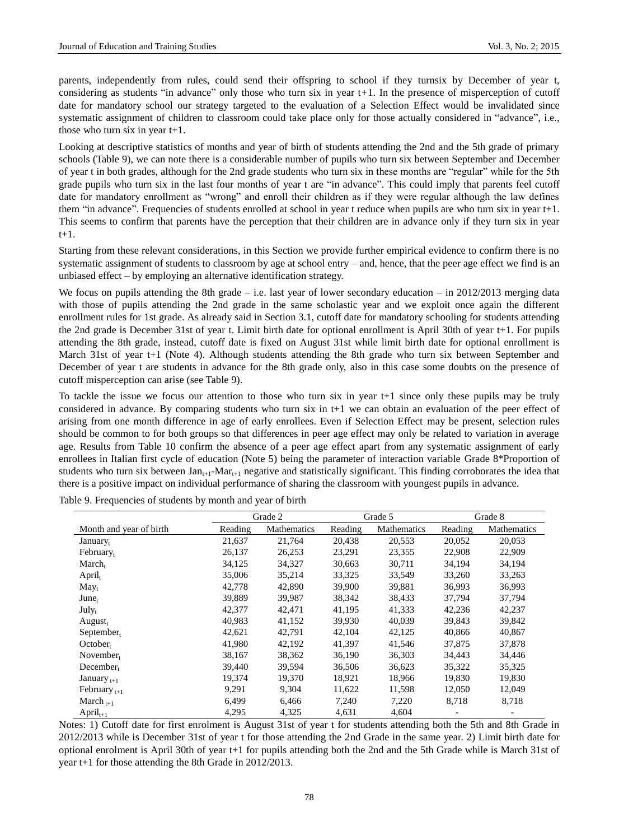parents, independently from rules, could send their offspring to school if they turnsix by December of year t, considering as students "in advance" only those who turn six in year t*+*1. In the presence of misperception of cutoff date for mandatory school our strategy targeted to the evaluation of a Selection Effect would be invalidated since systematic assignment of children to classroom could take place only for those actually considered in "advance", i.e., those who turn six in year t+1.

Looking at descriptive statistics of months and year of birth of students attending the 2nd and the 5th grade of primary schools (Table 9), we can note there is a considerable number of pupils who turn six between September and December of year t in both grades, although for the 2nd grade students who turn six in these months are "regular" while for the 5th grade pupils who turn six in the last four months of year t are "in advance". This could imply that parents feel cutoff date for mandatory enrollment as "wrong" and enroll their children as if they were regular although the law defines them "in advance". Frequencies of students enrolled at school in year t reduce when pupils are who turn six in year t+1. This seems to confirm that parents have the perception that their children are in advance only if they turn six in year t+1.

Starting from these relevant considerations, in this Section we provide further empirical evidence to confirm there is no systematic assignment of students to classroom by age at school entry – and, hence, that the peer age effect we find is an unbiased effect – by employing an alternative identification strategy.

We focus on pupils attending the 8th grade – i.e. last year of lower secondary education – in 2012/2013 merging data with those of pupils attending the 2nd grade in the same scholastic year and we exploit once again the different enrollment rules for 1st grade. As already said in Section 3.1, cutoff date for mandatory schooling for students attending the 2nd grade is December 31st of year t. Limit birth date for optional enrollment is April 30th of year t+1. For pupils attending the 8th grade, instead, cutoff date is fixed on August 31st while limit birth date for optional enrollment is March 31st of year t+1 (Note 4). Although students attending the 8th grade who turn six between September and December of year t are students in advance for the 8th grade only, also in this case some doubts on the presence of cutoff misperception can arise (see Table 9).

To tackle the issue we focus our attention to those who turn six in year t+1 since only these pupils may be truly considered in advance. By comparing students who turn six in t+1 we can obtain an evaluation of the peer effect of arising from one month difference in age of early enrollees. Even if Selection Effect may be present, selection rules should be common to for both groups so that differences in peer age effect may only be related to variation in average age. Results from Table 10 confirm the absence of a peer age effect apart from any systematic assignment of early enrollees in Italian first cycle of education (Note 5) being the parameter of interaction variable Grade 8\*Proportion of students who turn six between  $Jan_{t+1}$ -Mar<sub>t+1</sub> negative and statistically significant. This finding corroborates the idea that there is a positive impact on individual performance of sharing the classroom with youngest pupils in advance.

|                         |         | Grade 2     |         | Grade 5     |         | Grade 8     |
|-------------------------|---------|-------------|---------|-------------|---------|-------------|
| Month and year of birth | Reading | Mathematics | Reading | Mathematics | Reading | Mathematics |
| January <sub>t</sub>    | 21,637  | 21,764      | 20,438  | 20,553      | 20,052  | 20,053      |
| February <sub>t</sub>   | 26,137  | 26,253      | 23,291  | 23,355      | 22,908  | 22,909      |
| $March_{t}$             | 34,125  | 34,327      | 30,663  | 30,711      | 34,194  | 34,194      |
| $April_t$               | 35,006  | 35,214      | 33,325  | 33,549      | 33,260  | 33,263      |
| May <sub>t</sub>        | 42,778  | 42,890      | 39,900  | 39,881      | 36,993  | 36,993      |
| June <sub>t</sub>       | 39,889  | 39,987      | 38,342  | 38,433      | 37,794  | 37,794      |
| $July_t$                | 42,377  | 42,471      | 41,195  | 41,333      | 42,236  | 42,237      |
| $August_t$              | 40,983  | 41,152      | 39,930  | 40,039      | 39,843  | 39,842      |
| $September_{t}$         | 42,621  | 42,791      | 42,104  | 42,125      | 40,866  | 40,867      |
| October <sub>t</sub>    | 41,980  | 42,192      | 41,397  | 41,546      | 37,875  | 37,878      |
| $November_{t}$          | 38,167  | 38,362      | 36,190  | 36,303      | 34,443  | 34,446      |
| $December_{t}$          | 39,440  | 39,594      | 36,506  | 36,623      | 35,322  | 35,325      |
| January $_{t+1}$        | 19,374  | 19,370      | 18,921  | 18,966      | 19,830  | 19,830      |
| February $_{t+1}$       | 9,291   | 9,304       | 11,622  | 11,598      | 12,050  | 12,049      |
| March $_{t+1}$          | 6,499   | 6,466       | 7,240   | 7,220       | 8,718   | 8,718       |
| $April_{t+1}$           | 4,295   | 4,325       | 4,631   | 4,604       |         |             |

Table 9. Frequencies of students by month and year of birth

Notes: 1) Cutoff date for first enrolment is August 31st of year t for students attending both the 5th and 8th Grade in 2012/2013 while is December 31st of year t for those attending the 2nd Grade in the same year. 2) Limit birth date for optional enrolment is April 30th of year t+1 for pupils attending both the 2nd and the 5th Grade while is March 31st of year t+1 for those attending the 8th Grade in 2012/2013.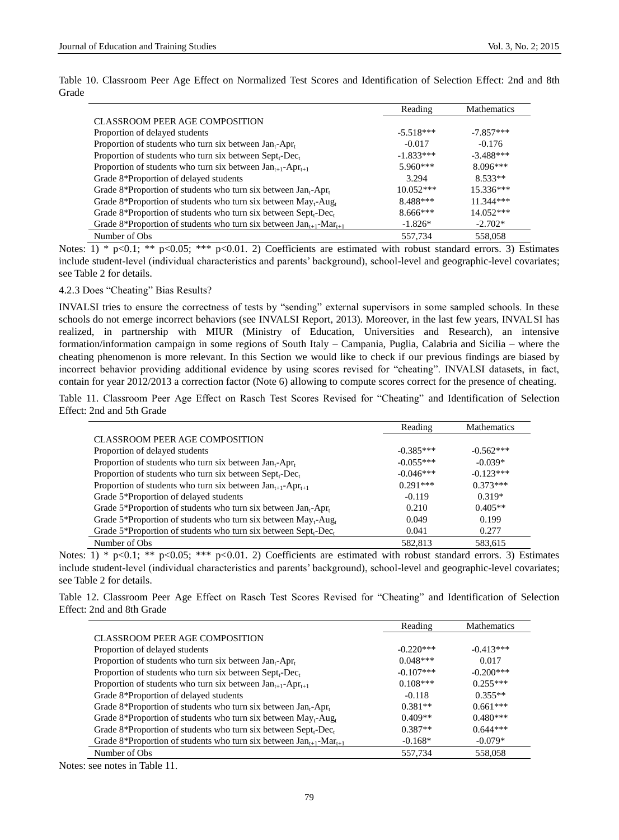|                                                                                        | Reading     | <b>Mathematics</b> |
|----------------------------------------------------------------------------------------|-------------|--------------------|
| <b>CLASSROOM PEER AGE COMPOSITION</b>                                                  |             |                    |
| Proportion of delayed students                                                         | $-5.518***$ | $-7.857***$        |
| Proportion of students who turn six between Jan <sub>t</sub> -Apr <sub>t</sub>         | $-0.017$    | $-0.176$           |
| Proportion of students who turn six between $Sept_{t}$ -Dec <sub>t</sub>               | $-1.833***$ | $-3.488***$        |
| Proportion of students who turn six between $Jan_{t+1}$ -Apr <sub>t+1</sub>            | $5.960***$  | $8.096***$         |
| Grade 8*Proportion of delayed students                                                 | 3.294       | $8.533**$          |
| Grade 8*Proportion of students who turn six between $Jan_t$ -Apr <sub>t</sub>          | $10.052***$ | $15.336***$        |
| Grade 8*Proportion of students who turn six between $\text{May}_{t}$ -Aug <sub>t</sub> | 8.488***    | 11.344***          |
| Grade 8*Proportion of students who turn six between $Sept_{t}$ -Dec <sub>t</sub>       | $8.666***$  | $14.052***$        |
| Grade 8*Proportion of students who turn six between $Jan_{t+1}$ -Mar <sub>t+1</sub>    | $-1.826*$   | $-2.702*$          |
| Number of Obs.                                                                         | 557.734     | 558,058            |

Table 10. Classroom Peer Age Effect on Normalized Test Scores and Identification of Selection Effect: 2nd and 8th Grade

Notes: 1) \* p<0.1; \*\* p<0.05; \*\*\* p<0.01. 2) Coefficients are estimated with robust standard errors. 3) Estimates include student-level (individual characteristics and parents' background), school-level and geographic-level covariates; see Table 2 for details.

# 4.2.3 Does "Cheating" Bias Results?

INVALSI tries to ensure the correctness of tests by "sending" external supervisors in some sampled schools. In these schools do not emerge incorrect behaviors (see INVALSI Report, 2013). Moreover, in the last few years, INVALSI has realized, in partnership with MIUR (Ministry of Education, Universities and Research), an intensive formation/information campaign in some regions of South Italy – Campania, Puglia, Calabria and Sicilia – where the cheating phenomenon is more relevant. In this Section we would like to check if our previous findings are biased by incorrect behavior providing additional evidence by using scores revised for "cheating". INVALSI datasets, in fact, contain for year 2012/2013 a correction factor (Note 6) allowing to compute scores correct for the presence of cheating.

Table 11. Classroom Peer Age Effect on Rasch Test Scores Revised for "Cheating" and Identification of Selection Effect: 2nd and 5th Grade

|                                                                                        | Reading     | Mathematics |
|----------------------------------------------------------------------------------------|-------------|-------------|
| <b>CLASSROOM PEER AGE COMPOSITION</b>                                                  |             |             |
| Proportion of delayed students                                                         | $-0.385***$ | $-0.562***$ |
| Proportion of students who turn six between $Jan_t$ -Apr <sub>t</sub>                  | $-0.055***$ | $-0.039*$   |
| Proportion of students who turn six between $Sept.$ Dec.                               | $-0.046***$ | $-0.123***$ |
| Proportion of students who turn six between $Jan_{t+1}$ -Apr <sub>t+1</sub>            | $0.291***$  | $0.373***$  |
| Grade 5*Proportion of delayed students                                                 | $-0.119$    | $0.319*$    |
| Grade 5*Proportion of students who turn six between $Jan_t$ -Apr <sub>t</sub>          | 0.210       | $0.405**$   |
| Grade 5*Proportion of students who turn six between $\text{May}_{t}$ -Aug <sub>t</sub> | 0.049       | 0.199       |
| Grade 5*Proportion of students who turn six between $Sept_{t}$ -Dec <sub>t</sub>       | 0.041       | 0.277       |
| Number of Obs.                                                                         | 582.813     | 583.615     |

Notes: 1) \* p<0.1; \*\* p<0.05; \*\*\* p<0.01. 2) Coefficients are estimated with robust standard errors. 3) Estimates include student-level (individual characteristics and parents' background), school-level and geographic-level covariates; see Table 2 for details.

Table 12. Classroom Peer Age Effect on Rasch Test Scores Revised for "Cheating" and Identification of Selection Effect: 2nd and 8th Grade

|                                                                                        | Reading      | <b>Mathematics</b> |
|----------------------------------------------------------------------------------------|--------------|--------------------|
| <b>CLASSROOM PEER AGE COMPOSITION</b>                                                  |              |                    |
| Proportion of delayed students                                                         | $-0.220$ *** | $-0.413***$        |
| Proportion of students who turn six between $Jan_t$ -Apr <sub>t</sub>                  | $0.048***$   | 0.017              |
| Proportion of students who turn six between Sept <sub>t</sub> -Dec <sub>t</sub>        | $-0.107***$  | $-0.200***$        |
| Proportion of students who turn six between $Jan_{t+1}$ -Apr <sub>t+1</sub>            | $0.108***$   | $0.255***$         |
| Grade 8*Proportion of delayed students                                                 | $-0.118$     | $0.355**$          |
| Grade 8*Proportion of students who turn six between $Jan_t$ -Apr <sub>t</sub>          | $0.381**$    | $0.661***$         |
| Grade 8*Proportion of students who turn six between $\text{May}_{t}$ -Aug <sub>t</sub> | $0.409**$    | $0.480***$         |
| Grade 8*Proportion of students who turn six between $Sept_{t}$ -Dec <sub>t</sub>       | $0.387**$    | $0.644***$         |
| Grade 8*Proportion of students who turn six between $Jan_{t+1}-Mar_{t+1}$              | $-0.168*$    | $-0.079*$          |
| Number of Obs                                                                          | 557.734      | 558,058            |

Notes: see notes in Table 11.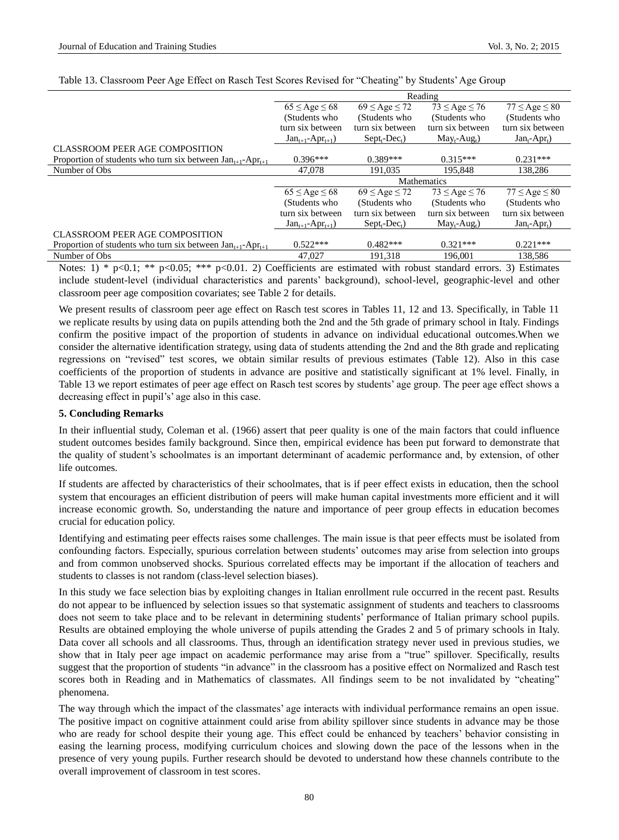|                                                                             | Reading                           |                       |                             |                             |
|-----------------------------------------------------------------------------|-----------------------------------|-----------------------|-----------------------------|-----------------------------|
|                                                                             | $65 \leq$ Age $\leq 68$           | $69 \le$ Age $\le$ 72 | $73 \leq Age \leq 76$       | $77 \leq Age \leq 80$       |
|                                                                             | (Students who                     | (Students who         | (Students who               | (Students who               |
|                                                                             | turn six between                  | turn six between      | turn six between            | turn six between            |
|                                                                             | $Jan_{t+1}$ -Apr <sub>t+1</sub> ) | $Septt-Dect)$         | $May_t$ -Aug <sub>t</sub> ) | $Jan_t$ -Apr <sub>t</sub> ) |
| CLASSROOM PEER AGE COMPOSITION                                              |                                   |                       |                             |                             |
| Proportion of students who turn six between $Jan_{t+1}$ -Apr <sub>t+1</sub> | $0.396***$                        | $0.389***$            | $0.315***$                  | $0.231***$                  |
| Number of Obs                                                               | 47,078                            | 191.035               | 195,848                     | 138,286                     |
|                                                                             | <b>Mathematics</b>                |                       |                             |                             |
|                                                                             | $65 \leq$ Age $\leq 68$           | $69 \le$ Age $\le$ 72 | $73 \leq Age \leq 76$       | $77 \leq Age \leq 80$       |
|                                                                             | (Students who                     | (Students who         | (Students who               | (Students who               |
|                                                                             | turn six between                  | turn six between      | turn six between            | turn six between            |
|                                                                             | $Jan_{t+1}$ -Apr <sub>t+1</sub> ) | $Septt-Dect)$         | $May_t$ -Aug <sub>t</sub> ) | $Jan_t$ -Apr <sub>t</sub> ) |
| <b>CLASSROOM PEER AGE COMPOSITION</b>                                       |                                   |                       |                             |                             |
| Proportion of students who turn six between $Jan_{t+1}$ -Apr <sub>t+1</sub> | $0.522***$                        | $0.482***$            | $0.321***$                  | $0.221***$                  |
| Number of Obs                                                               | 47.027                            | 191.318               | 196.001                     | 138.586                     |

#### Table 13. Classroom Peer Age Effect on Rasch Test Scores Revised for "Cheating" by Students' Age Group

Notes: 1) \* p<0.1; \*\* p<0.05; \*\*\* p<0.01. 2) Coefficients are estimated with robust standard errors. 3) Estimates include student-level (individual characteristics and parents' background), school-level, geographic-level and other classroom peer age composition covariates; see Table 2 for details.

We present results of classroom peer age effect on Rasch test scores in Tables 11, 12 and 13. Specifically, in Table 11 we replicate results by using data on pupils attending both the 2nd and the 5th grade of primary school in Italy. Findings confirm the positive impact of the proportion of students in advance on individual educational outcomes.When we consider the alternative identification strategy, using data of students attending the 2nd and the 8th grade and replicating regressions on "revised" test scores, we obtain similar results of previous estimates (Table 12). Also in this case coefficients of the proportion of students in advance are positive and statistically significant at 1% level. Finally, in Table 13 we report estimates of peer age effect on Rasch test scores by students' age group. The peer age effect shows a decreasing effect in pupil's' age also in this case.

#### **5. Concluding Remarks**

In their influential study, Coleman et al. (1966) assert that peer quality is one of the main factors that could influence student outcomes besides family background. Since then, empirical evidence has been put forward to demonstrate that the quality of student's schoolmates is an important determinant of academic performance and, by extension, of other life outcomes.

If students are affected by characteristics of their schoolmates, that is if peer effect exists in education, then the school system that encourages an efficient distribution of peers will make human capital investments more efficient and it will increase economic growth. So, understanding the nature and importance of peer group effects in education becomes crucial for education policy.

Identifying and estimating peer effects raises some challenges. The main issue is that peer effects must be isolated from confounding factors. Especially, spurious correlation between students' outcomes may arise from selection into groups and from common unobserved shocks. Spurious correlated effects may be important if the allocation of teachers and students to classes is not random (class-level selection biases).

In this study we face selection bias by exploiting changes in Italian enrollment rule occurred in the recent past. Results do not appear to be influenced by selection issues so that systematic assignment of students and teachers to classrooms does not seem to take place and to be relevant in determining students' performance of Italian primary school pupils. Results are obtained employing the whole universe of pupils attending the Grades 2 and 5 of primary schools in Italy. Data cover all schools and all classrooms. Thus, through an identification strategy never used in previous studies, we show that in Italy peer age impact on academic performance may arise from a "true" spillover. Specifically, results suggest that the proportion of students "in advance" in the classroom has a positive effect on Normalized and Rasch test scores both in Reading and in Mathematics of classmates. All findings seem to be not invalidated by "cheating" phenomena.

The way through which the impact of the classmates' age interacts with individual performance remains an open issue. The positive impact on cognitive attainment could arise from ability spillover since students in advance may be those who are ready for school despite their young age. This effect could be enhanced by teachers' behavior consisting in easing the learning process, modifying curriculum choices and slowing down the pace of the lessons when in the presence of very young pupils. Further research should be devoted to understand how these channels contribute to the overall improvement of classroom in test scores.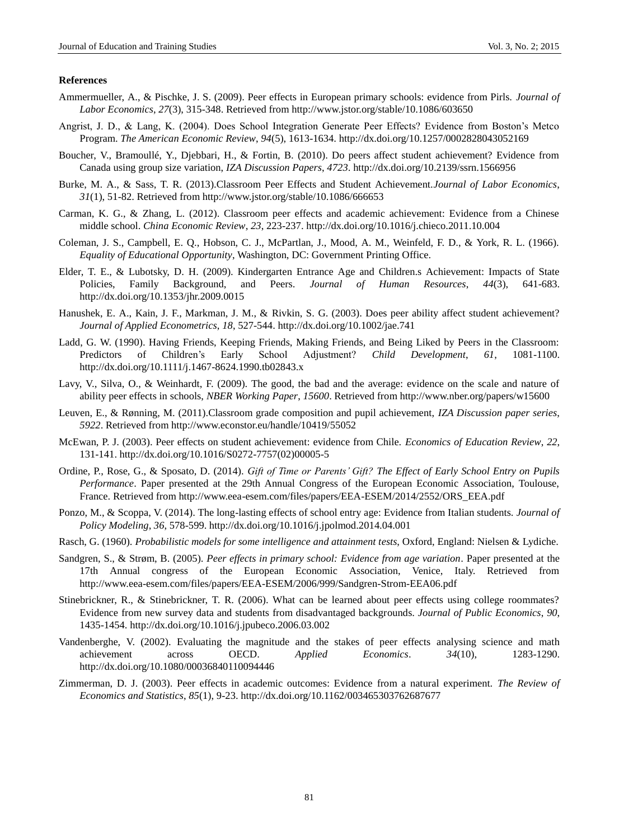#### **References**

- Ammermueller, A., & Pischke, J. S. (2009). Peer effects in European primary schools: evidence from Pirls. *Journal of Labor Economics*, *27*(3), 315-348. Retrieved from<http://www.jstor.org/stable/10.1086/603650>
- Angrist, J. D., & Lang, K. (2004). Does School Integration Generate Peer Effects? Evidence from Boston's Metco Program. *The American Economic Review*, *94*(5), 1613-1634. http://dx.doi.org/10.1257/0002828043052169
- Boucher, V., Bramoullé, Y., Djebbari, H., & Fortin, B. (2010). Do peers affect student achievement? Evidence from Canada using group size variation, *IZA Discussion Papers*, *4723*. <http://dx.doi.org/10.2139/ssrn.1566956>
- Burke, M. A., & Sass, T. R. (2013).Classroom Peer Effects and Student Achievement.*Journal of Labor Economics*, *31*(1), 51-82. Retrieved from http://www.jstor.org/stable/10.1086/666653
- Carman, K. G., & Zhang, L. (2012). Classroom peer effects and academic achievement: Evidence from a Chinese middle school. *China Economic Review*, *23*, 223-237. http://dx.doi.org/10.1016/j.chieco.2011.10.004
- Coleman, J. S., Campbell, E. Q., Hobson, C. J., McPartlan, J., Mood, A. M., Weinfeld, F. D., & York, R. L. (1966). *Equality of Educational Opportunity*, Washington, DC: Government Printing Office.
- Elder, T. E., & Lubotsky, D. H. (2009). Kindergarten Entrance Age and Children.s Achievement: Impacts of State Policies, Family Background, and Peers. *Journal of Human Resources*, *44*(3), 641-683. http://dx.doi.org/10.1353/jhr.2009.0015
- Hanushek, E. A., Kain, J. F., Markman, J. M., & Rivkin, S. G. (2003). Does peer ability affect student achievement? *Journal of Applied Econometrics*, *18*, 527-544. http://dx.doi.org/10.1002/jae.741
- Ladd, G. W. (1990). Having Friends, Keeping Friends, Making Friends, and Being Liked by Peers in the Classroom: Predictors of Children's Early School Adjustment? *Child Development*, *61*, 1081-1100. http://dx.doi.org/10.1111/j.1467-8624.1990.tb02843.x
- Lavy, V., Silva, O., & Weinhardt, F. (2009). The good, the bad and the average: evidence on the scale and nature of ability peer effects in schools, *NBER Working Paper*, *15600*. Retrieved from http://www.nber.org/papers/w15600
- Leuven, E., & Rønning, M. (2011).Classroom grade composition and pupil achievement, *IZA Discussion paper series*, *5922*. Retrieved from http://www.econstor.eu/handle/10419/55052
- McEwan, P. J. (2003). Peer effects on student achievement: evidence from Chile. *Economics of Education Review*, *22*, 131-141. http://dx.doi.org/10.1016/S0272-7757(02)00005-5
- Ordine, P., Rose, G., & Sposato, D. (2014). *Gift of Time or Parents' Gift? The Effect of Early School Entry on Pupils Performance*. Paper presented at the 29th Annual Congress of the European Economic Association, Toulouse, France. Retrieved from http://www.eea-esem.com/files/papers/EEA-ESEM/2014/2552/ORS\_EEA.pdf
- Ponzo, M., & Scoppa, V. (2014). The long-lasting effects of school entry age: Evidence from Italian students. *Journal of Policy Modeling*, *36*, 578-599. http://dx.doi.org/10.1016/j.jpolmod.2014.04.001
- Rasch, G. (1960). *Probabilistic models for some intelligence and attainment tests*, Oxford, England: Nielsen & Lydiche.
- Sandgren, S., & Strøm, B. (2005). *Peer effects in primary school: Evidence from age variation*. Paper presented at the 17th Annual congress of the European Economic Association, Venice, Italy. Retrieved from http://www.eea-esem.com/files/papers/EEA-ESEM/2006/999/Sandgren-Strom-EEA06.pdf
- Stinebrickner, R., & Stinebrickner, T. R. (2006). What can be learned about peer effects using college roommates? Evidence from new survey data and students from disadvantaged backgrounds. *Journal of Public Economics*, *90*, 1435-1454. http://dx.doi.org[/10.1016/j.jpubeco.2006.03.002](http://dx.doi.org/10.1016/j.jpubeco.2006.03.002)
- Vandenberghe, V. (2002). Evaluating the magnitude and the stakes of peer effects analysing science and math achievement across OECD. *Applied Economics*. *34*(10), 1283-1290. http://dx.doi.org/10.1080/00036840110094446
- Zimmerman, D. J. (2003). Peer effects in academic outcomes: Evidence from a natural experiment. *The Review of Economics and Statistics*, *85*(1), 9-23. http://dx.doi.org/10.1162/003465303762687677